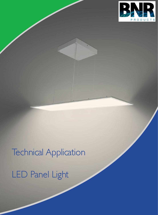

# Technical Application LED Panel Light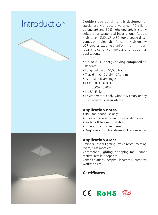



Introduction Double-sided panel light is designed for Double-sided panel light is designed for special use with decorative effect. 70% light downward and 30% light upward, it is only suitable for suspended installations. Adopts high lumen SMD, CRI >80, top branded driver comes with dimmable function. High quality LGP creates extremely uniform light. It is an ideal choice for commercial and residential applications.

- Up to 80% energy saving compared to standard CFL
- Long lifetime of 40,000 hours
- Triac dim, 0-10V dim, DALI dim
- 120° wide beam angle
- CCT: 3000K 4000K 5000K 5700K
- No UV/IR light
- Environment friendly, without Mercury or any other hazardous substances

#### Application notes

- IP40 for indoor use only
- Professional electrician for installation only
- Switch off before installation
- Do not touch when in use
- Keep away from hot steam and corrosive gas

#### Application Areas

Office & school lighting: office room, meeting room, class room etc.

Commercial lighting: shopping mall, super market, retailer shops etc.

Other situations: hospital, laboratory, dust-free workshop etc.

### **Certificates**



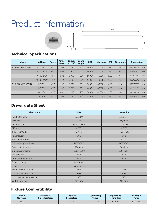# Product Information





# Technical Specifications

| <b>Model</b>       | <b>Voltage</b> | <b>Power</b> | <b>Power</b><br><b>Factor</b> | Lumen<br>(±5%) | <b>Beam</b><br>angle | <b>CCT</b> | Lifespan | <b>CRI</b> | <b>Dimmable</b> | <b>Dimension</b> |
|--------------------|----------------|--------------|-------------------------------|----------------|----------------------|------------|----------|------------|-----------------|------------------|
| BNR-PL30120-45W-L  | AC100-240V     | 45W          | $\geq 0.9$                    | 2850           | $120^\circ$          | 3000K      | 40000h   | $\geq 80$  | <b>No</b>       | 1195*295*9.12mm  |
|                    | AC100-240V     | 45W          | $\geq 0.9$                    | 3000           | $120^\circ$          | 4000K      | 40000h   | $\geq 80$  | <b>No</b>       | 1195*295*9.12mm  |
|                    | AC100-240V     | 45W          | $\geq 0.9$                    | 3050           | $120^\circ$          | 5000K      | 40000h   | $\geq 80$  | <b>No</b>       | 1195*295*9.12mm  |
|                    | AC100-240V     | 45W          | $\geq 0.9$                    | 3100           | $120^\circ$          | 5700K      | 40000h   | $\geq 80$  | <b>No</b>       | 1195*295*9.12mm  |
| BNR-PL30120-45WD-L | <b>AC230V</b>  | 45W          | $\geq 0.9$                    | 2700           | $120^\circ$          | 3000K      | 40000h   | $\geq 80$  | <b>Yes</b>      | 1195*295*9.12mm  |
|                    | <b>AC230V</b>  | 45W          | $\geq 0.9$                    | 2750           | $120^\circ$          | 4000K      | 40000h   | $\geq 80$  | Yes             | 1195*295*9.12mm  |
|                    | AC230V         | 45W          | $\geq 0.9$                    | 2780           | $120^\circ$          | 5000K      | 40000h   | $\geq 80$  | Yes             | 1195*295*9.12mm  |
|                    | <b>AC230V</b>  | 45W          | $\geq 0.9$                    | 2790           | $120^\circ$          | 5700K      | 40000h   | $\geq 80$  | Yes             | 1195*295*9.12mm  |

#### Driver data Sheet

| <b>Driver data</b>          | <b>DIM</b>      | Non-dim         |  |  |
|-----------------------------|-----------------|-----------------|--|--|
| Input rated Voltage         | <b>AC230V</b>   | AC100-240V      |  |  |
| Frequency                   | 50Hz            | 50/60Hz         |  |  |
| Input Voltage               | AC200-240V      | AC85-265V       |  |  |
| Efficiency                  | $\geq 83\%$     | $\geq 86\%$     |  |  |
| <b>Total load Wattage</b>   | $45W + 5%$      | $45W \pm 5%$    |  |  |
| Power Factor                | $\geq 0.9$      | $\geq 0.9$      |  |  |
| Rated input current         | $\leq$ 0.22A    | $\leq$ 0.5A     |  |  |
| Full load output Voltage    | DC35-38V        | DC35-38V        |  |  |
| Rated output current        | 1000mA          | 1050mA          |  |  |
| Output current range        | $1000mA \pm 5%$ | $1050mA \pm 5%$ |  |  |
| Power tolerance             | ±5%             | ±5%             |  |  |
| Current output tolerance    | ±5%             | ±5%             |  |  |
| Dimming range               | 8%-100%         |                 |  |  |
| <b>Dimmer</b>               | Triac dimmers   |                 |  |  |
| Short circuit protection    | PASS            | PASS            |  |  |
| Over voltage protection     | PASS            | PASS            |  |  |
| Over temperature protection | PASS            | PASS            |  |  |
| Withstand voltage           | AC3750V         | AC3750V         |  |  |

# Fixture Compatibility

| Rated   | <b>Electrical</b>     | <b>Ingress</b>    | <b>Operating</b>                      | <b>Operating</b> | <b>Storage</b>              |
|---------|-----------------------|-------------------|---------------------------------------|------------------|-----------------------------|
| Wattage | <b>Classification</b> | <b>Protection</b> | <b>Temp</b>                           | <b>Humidity</b>  | Temp                        |
| 45W     |                       | <b>IP40</b>       | -20 $\degree$ C $\sim$ 45 $\degree$ C | $0 - 90\%$       | $-20^{\circ}$ C $\sim$ 65°C |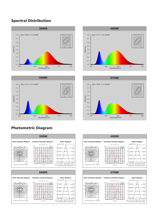#### Spectral Distribution





### Photometric Diagram













-120 -90

-30

#### 120 90 0 30  $-150$   $7 + 180$   $150$ Polar intensity diagram Cartesian intensity diagram Planar Illuminance Curve Distance(m) E(LX) MH=10m 2.2 1.4 1.2 0.8 0.4 0.2 C0/180 C90/270 UNIT: cd -25 -20 -15 -10 -5 0 5 10 15 20 25 AVERAGE BEAM ANGLE(50%): 243.2 DEG Beam diagram Height Eavg, Emax Angle: 91.91deg Diamete Note: The Curves indicate the illuminated area and the average illumination when the Luminaire is at different distance.  $: 281.9$ 22.61, 36.02fc 243.4, 387.7lx 3.194ft 97.35cm 6.388ft 194.71cm 9.582ft 292.06cm 12.78ft 389.42cm 15.97ft 486.77cm 5.653, 9.004fc 60.85, 96.92lx 27.04, 43.08lx 1.413, 2.2519 15.21, 24.23lx 0.9045, 1.441fc 9.736, 15.51lx 16.4ft 5m 13.12ft 4m 3m 6.562ft 2m 3.281ft 1m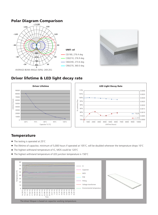#### Polar Diagram Comparison AVERAGE BEAM ANGLE (50%): 269.2EG UNIT: cd C0/180, 276.4 deg C30/210, 276.9 deg C60/240, 273.6 deg C90/270, 360.0 deg **0 30 60 90 120 150 -/+180 -150 -120 -90 -60 -30 190 380 570 760 950 0**



 $\leftarrow$  FLUX △ U'V'

0.0040 0.0035 0.0030 0.0025 0.0020 0.0015 0.0010 0.0005  $\frac{0.0000}{10000}$ 

#### Driver lifetime & LED light decay rate



#### **Temperature**

- The testing is operated at 25°C
- The lifetime of capacitor, minimum of 5,000 hours if operated at 105°C, will be doubled whenever the temperature drops 10°C
- The highest withstand temperature of IC, MOS could be 120°C
- The highest withstand temperature of LED junction temperature is 150°C